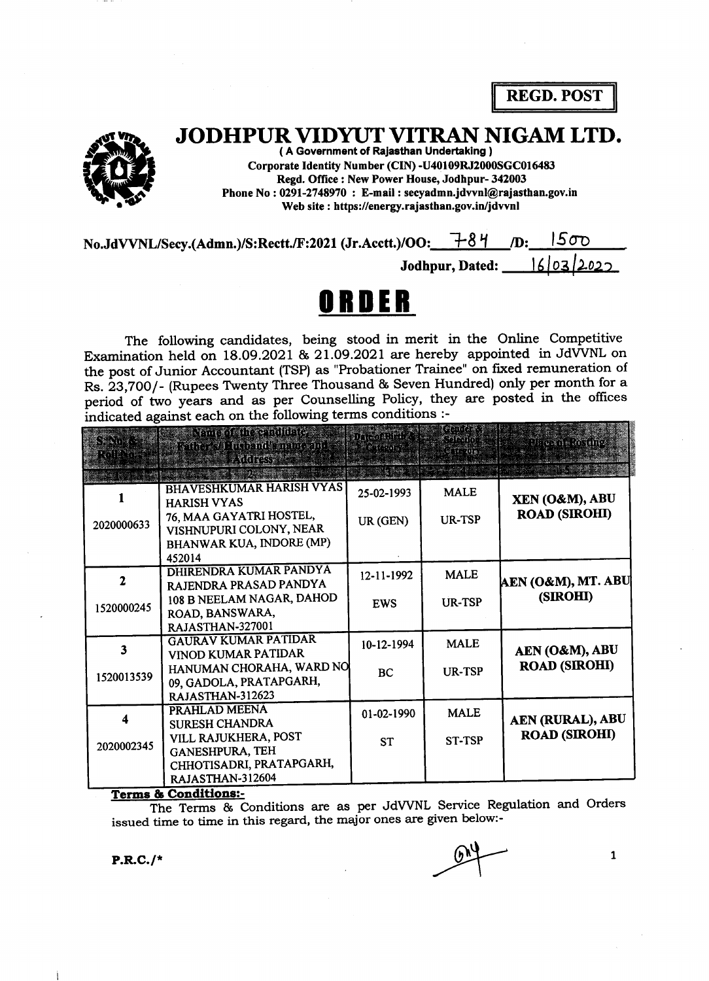REGD. POST



# JODHPUR VIDYUT VITRAN NIGAM LTD.

JODHPUK VIDYUI VIIKAN I (A Government of Rajasthan Undertaking)<br>
Corporate Identity Number (CIN) -U40109RJ200<br>
Regd. Office : New Power House, Jodhpur-<br>
Phone No : 0291-2748970 : E-mail : secyadmn.jdvvnl(<br>
Web site : https Corporate Identity Number (CIN) -U40109RJ2000SGC016483 Regd. Office : New Power House, Jodhpur- 342003 Phone No : 0291-2748970 : E-mail : secyadmn.jdvvnl@rajasthan.gov.in Web site : https://energy.rajasthan.gov.in/jdwnl

No.JdVVNL/Secy.(Admn.)/S:Rectt./F:2021 (Jr.Acctt.)/OO: $\frac{7-84}{1}$ l5oo  $\mathbf{D}$ :

> $|A|03|$ Jodhpur, Dated:

# ORDER

The following candidates, being stood in merit in the Online Competitive Examination held on 18.09.2O2L & 2L.O9.2O2L are hereby appointed in JdWNL on the post of Junior Accountant (TSP) as "Probationer Trainee" on fixed remuneration of Rs. 23,700/- (Rupees Twenty Three Thousand & Seven Hundred) only per month for a period of two years and as per Counselling Policy, they are posted in the offices indicated against each on the following terms conditions :

| Sento de<br>RA 12 NAS | Nancy of the Chillines<br>Radie, Villudbind smane and<br><b>ARGRESS</b>                                                                  | an an mar<br>2.1600      | estatur.<br><u>Celevini</u><br>្រុះព្រះព្រះ | Dirash Ritimo                            |
|-----------------------|------------------------------------------------------------------------------------------------------------------------------------------|--------------------------|---------------------------------------------|------------------------------------------|
| 2020000633            | <b>BHAVESHKUMAR HARISH VYAS</b><br><b>HARISH VYAS</b><br>76, MAA GAYATRI HOSTEL,<br>VISHNUPURI COLONY, NEAR<br>BHANWAR KUA, INDORE (MP)  | 25-02-1993<br>UR (GEN)   | <b>MALE</b><br>UR-TSP                       | XEN (O&M), ABU<br><b>ROAD (SIROHI)</b>   |
| 1520000245            | 452014<br>DHIRENDRA KUMAR PANDYA<br>RAJENDRA PRASAD PANDYA<br>108 B NEELAM NAGAR, DAHOD<br>ROAD, BANSWARA,<br>RAJASTHAN-327001           | 12-11-1992<br><b>EWS</b> | <b>MALE</b><br><b>UR-TSP</b>                | AEN (O&M), MT. ABU<br>(SIROHI)           |
| 3<br>1520013539       | <b>GAURAV KUMAR PATIDAR</b><br>VINOD KUMAR PATIDAR<br>HANUMAN CHORAHA, WARD NO<br>09, GADOLA, PRATAPGARH,<br>RAJASTHAN-312623            | 10-12-1994<br><b>BC</b>  | <b>MALE</b><br>UR-TSP                       | AEN (O&M), ABU<br><b>ROAD (SIROHI)</b>   |
| 2020002345            | PRAHLAD MEENA<br><b>SURESH CHANDRA</b><br>VILL RAJUKHERA, POST<br><b>GANESHPURA, TEH</b><br>CHHOTISADRI, PRATAPGARH,<br>RAJASTHAN-312604 | 01-02-1990<br><b>ST</b>  | <b>MALE</b><br><b>ST-TSP</b>                | AEN (RURAL), ABU<br><b>ROAD (SIROHI)</b> |

Terms & Conditions:

The Terms & Conditions are as per JdVVNL Service Regulation and Orders issued time to time in this regard, the major ones are given below:-

 $P.R.C./*$ 

 $\mathbf{1}$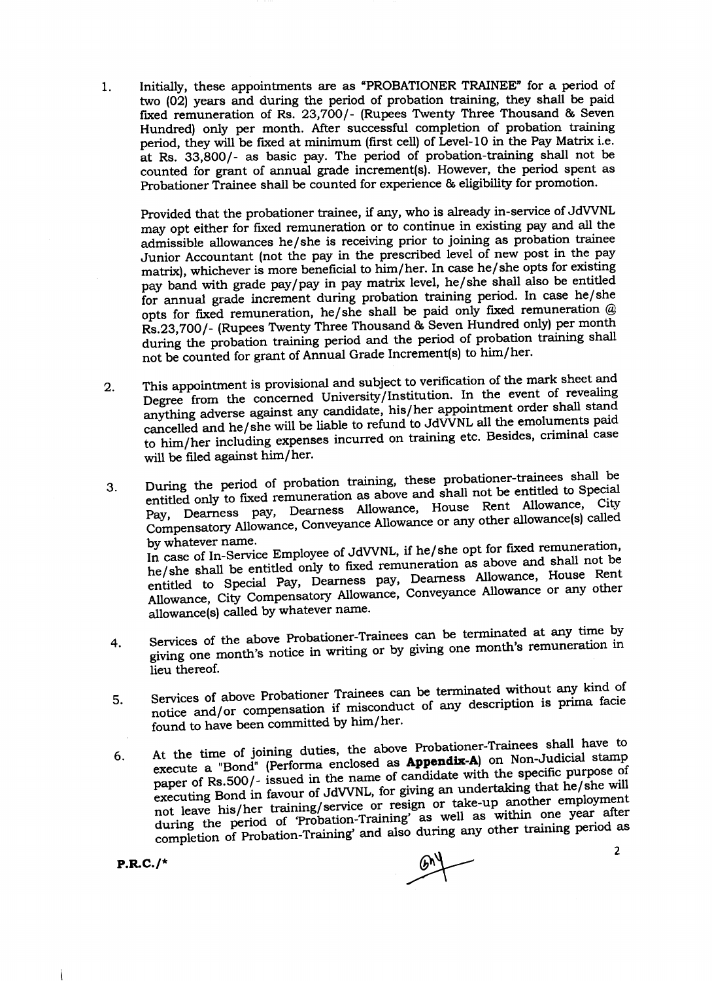1. Initially, these appointments are as 'PROBATIONER TRAINEE" for a period of two (02) years and during the period of probation training, they shall be paid fixed remuneration of Rs. 23,700/- (Rupees Twenty Three Thousand & Seven Hundred) only per month. After successful completion of probation training period, they will be fixed at minimum (first cell) of Level-10 in the Pay Matrix i.e. at Rs. 33,800/- as basic pay. The period of probation-training shall not be counted for grant of annual grade increment(s). However, the period spent as Probationer Trainee shall be counted for experience & eligibility for promotion.

Provided that the probationer trainee, if any, who is already in-service of JdVVNL may opt either for fixed remuneration or to continue in existing pay and all the admissible allowances he/she is receiving prior to joining as probation trainee Junior Accountant (not the pay in the prescribed level of new post in the pay matrix), whichever is more beneficial to him/her. In case he/she opts for existing pay band with grade pay/pay in pay matrix level, he/she shall also be entitled for annual grade increment during probation training period. In case he/she opts for fixed remuneration, he/she shall be paid only fixed remuneration  $@$ Rs.23,700/- (Rupees Twenty Three Thousand & Seven Hundred only) per month during the probation training period and the period of probation training shall not be counted for grant of Annual Grade Increment(s) to him/her.

- 2. This appointment is provisional and subject to verification of the mark sheet and Degree from the concerned University/Institution. In the event of revealing anything adverse against any candidate, his/her appointment order shall stand cancelled and he/she will be liable to refund to JdVVNL all the emoluments paid to him/her including expenses incurred on training etc. Besides, criminal case will be filed against him/her.
- 3. During the period of probation training, these probationer-trainees shall be entitled only to fixed remuneration as above and shall not be entitled to Special Pay, Dearness pay, Dearness Allowance, House Rent Allowance, City ru<sub>y</sub>, <del>pensatory Allowance</del>, Conveyance<br>Numbertation name Allowance or any other allowance(s) called by whatever name.<br>In case of In-Service Employee of JdVVNL, if he/she opt for fixed remuneration, he/she shall be entitled only to fixed remuneration as above and shall not be<br>entitled to Special Pay, Dearness pay, Dearness Allowance, House Rent he/she shall be entitled only to fixed remuneration as above and shall not be Allowance, City Compensatory Allowance, Conveyance Allowance or any other allowance(s) called by whatever name.
- 4. Services of the above Probationer-Trainees can be terminated at any time by giving one month's notice in writing or by giving one month's remuneration in lieu thereof.
- 5. Services of above Probationer Trainees can be terminated without any kind of notice and/or compensation if misconduct of any description is prima facie found to have been committed by him/her.
- 6. At the time of joining duties, the above Probationer-Trainees shall have to  $\frac{1}{2}$ execute a "Bond" (Performa enclosed as **Appendix-A**) on Non-Judicial stamp paper of Rs.500/- issued in the name of candidate with the specific purpose of mot leave his/her training/service or resign or take-up another employment<br>not leave his/her training/service or resign or take-up another employment executing Bond in favour of JdVVNL, for giving an undertaking that he/she will during the period of 'Probation-Training' as well as within one year after completion of Probation-Training' and also during any other training period as

P.R-C./\*

 $\mathbb{R}$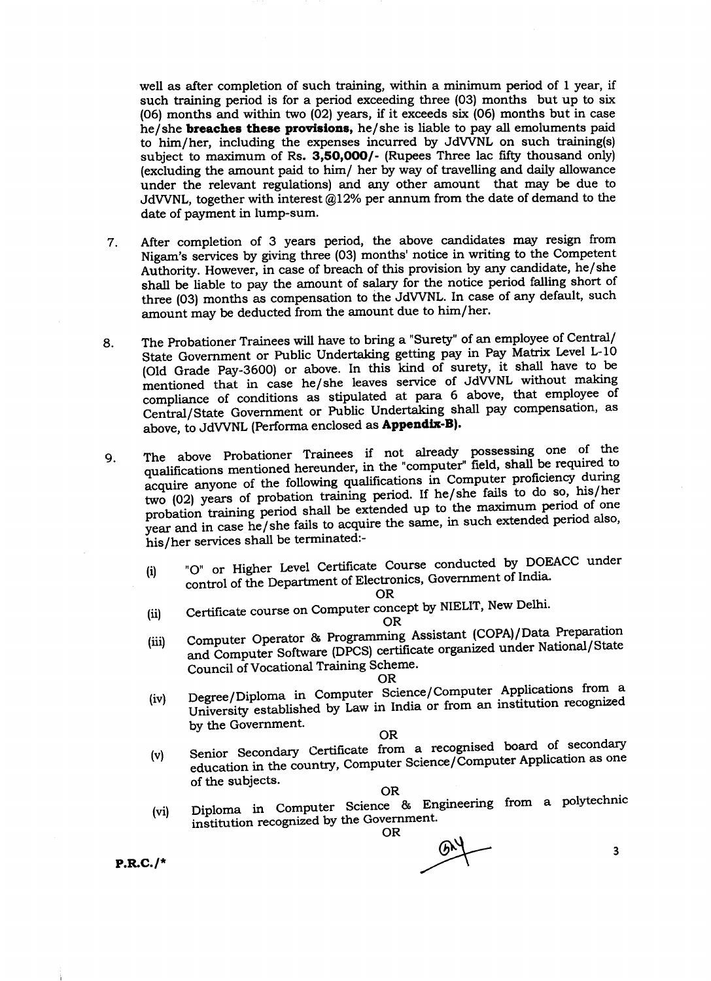well as after completion of such training, within a minimum period of I year, if such training period is for a period exceeding three (03) months but up to six (O6) months and within two (02) years, if it exceeds six (06) months but in case he/she breaches these provislons, he/she is liable to pay all emoluments paid to him/her, including the expenses incurred by JdWNL on such training(s) subject to maximum of Rs. 3,50,000/- (Rupees Three lac fifty thousand only) (excluding the amount paid to him/ her by way of travelling and daily allowance under the relevant regulations) and any other amount that may be due to JdVVNL, together with interest  $@12%$  per annum from the date of demand to the date of payment in lump-sum.

- T. After completion of 3 years period, the above candidates may resign from Nigam's services by giving three (03) months' notice in writing to the Competent Authority. However, in case of breach of this provision by any candidate, he/she shall be liable to pay the amount of salary for the notice period falling short of three (03) months as compensation to the JdVVNL. In case of any default, such<br>amount may be deducted from the amount due to him/her. amount may be deducted from the amount due to him/her.
- 8. The Probationer Trainees will have to bring a "Surety" of an employee of Central/ State Government or Public Undertaking getting pay in Pay Matrix Level L-10 (Old Grade Pay-3600) or above. In this kind of surety, it shall have to be mentioned that in case he/she leaves service of JdVVNL without making compliance of conditions as stipulated at para 6 above, that employee of Central/State Government or Public Undertaking shall pay compensation, as above, to JdVVNL (Performa enclosed as Appendix-B).
- 9. The above Probationer Trainees if not already possessing one of the<br>example in the "computer" field shall be required to qualifications mentioned hereunder, in the "computer" field, shall be required to<br>qualifications mentioned hereunder, in the "computer" field, shall be required to acquire anyone of the following qualifications in Computer proficiency during two (02) years of probation training period. If he/she fails to do so, his/her probation training period shall be extended up to the maximum period of one<br>year and in case he/she fails to acquire the same, in such extended period also, probation training period shall be extended up to the maximum period of one his/her services shall be terminated:-
	- (i) "O" or Higher Level Certificate Course conducted by DOEACC under control of the Department of Electronics, Government of India.

OR

(ii) Certificate course on Computer concept by NIELIT, New Delhi.

OR

(iii) Computer Operator & Programming-Assistant (COPA)/Data Preparation and Computer Software (DPCS) certificate organized under National/State Council of Vocational Training Scheme.

### OR

(iv) Degree/Diploma in Computer Science/Computer Applications from a University established by Law in India or from an institution recognized by the Government.

### OR

Senior Secondary Certificate from a recognised board of secondary Senior Secondary Cordination and the senior Computer Application as one<br>education in the country, Computer Science/Computer Application as one<br>of the subjects. of the subjects. (v)

OR

Diploma in Computer Science & Engineering from a polytechnic institution recognized by the Government.<br>OR (vi)

P.RC./\*

 $6h$  3  $\overline{\phantom{a}}$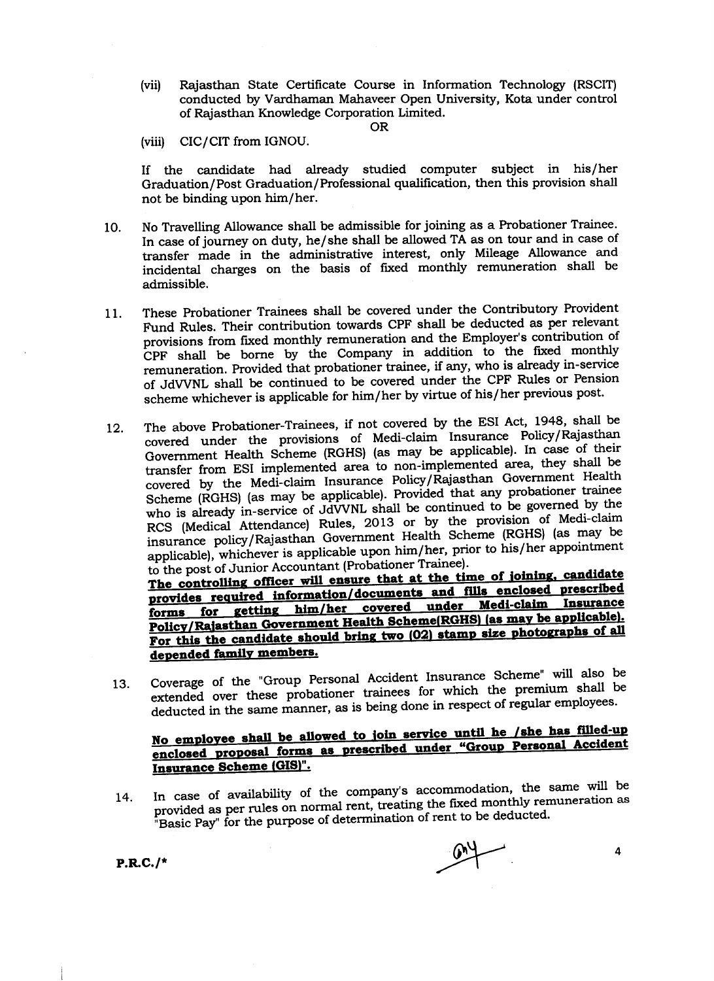(vii) Rajasthan State Certificate Course in Information Technology (RSCIT) conducted by Vardhaman Mahaveer Open University, Kota under control of Rajasthan Knowledge Corporation Limited.

#### OR

(viii) CIC/CIT from IGNOU.

If the candidate had already studied computer subject in his/her Graduation/Post Graduation/Professional qualification, then this provision shall not be binding upon him/her.

- 10. No Travelling Allowance shall be admissible for joining as a Probationer Trainee. In case of journey on duty, he/she shall be allowed TA as on tour and in case of transfer made in the administrative interest, only Mileage Allowance and incidental charges on the basis of fixed monthly remuneration shall be admissible.
- These probationer Trainees shall be covered under the Contributory Provident Fund Rules. Their contribution towards CPF shall be deducted as per relevant provisions from fixed monthly remuneration and the Employer's contribution of 'cpr. shall be borne by the company in addition to the fixed monthly remuneration. Provided that probationer trainee, if any, who is already in-service of JdVVNL shall be continued to be covered under the CPF Rules or Pension scheme whichever is applicable for him/her by virtue of his/her previous post. 11.
- 12. The above Probationer-Trainees, if not covered by the ESI Act, 1948, shall be covered under the er-Trainees, if not covered by the ESI Act, 1940, shall be<br>provisions of Medi-claim Insurance Policy/Rajasthar Government Health Scheme (RGHS) (as may be applicable). In case of their transfer from ESI implementid area to non--implemented area, they shall be covered by the Medi-claim Insurance Policy/Rajasthan Government Health Scheme (RGHS) (as may be applicable). Provided that any probationer trainee who is already in-service of JdVVNL shall be continued to be governed by the RCS (Medical Attendance) Rules, 2013 or by the provision of Medi-claim insurance policy/Rajasthan Government Health scheme (RGHS) (as may be applicable), whichever is applicable upon him/her, prior to his/her appointment<br>to the post of Junior Accountant (Probationer Trainee).<br>The controlling officer will ensure that at the time of joining, candidate

to the post of Junior Accountant (Probationer Trainee).<br>The controlling officer will ensure that at the time of joining, candidate<br>provides required information/documents and fills enclosed prescribed forms for getting him/her covered under Medi-claim Insurance Policy/Rajasthan Government Health Scheme(RGHS) (as may be applicable). For this the candidate should bring two (02) stamp size photographs of all depended family members.

13. coverage of the "Group Personal ACCident Insurance scheme" will also be extended over these probationer trainees for which the premium shall be deducted in the same manner, as is being done in respect of regular employees.

## No employee shall be allowed to join service until he /she has filled-up enclosed proposal forms as prescribed under "Group Personal Accident Insurance Scheme (GIS)".

In case of availability of the company's accommodation, the same will be provided as per rules on normal rent, treating the fixed monthly remuneration as "Basic Pay" for the purpose of determination of rent to be deducted. 14.

 $P.R.C./*$ 

4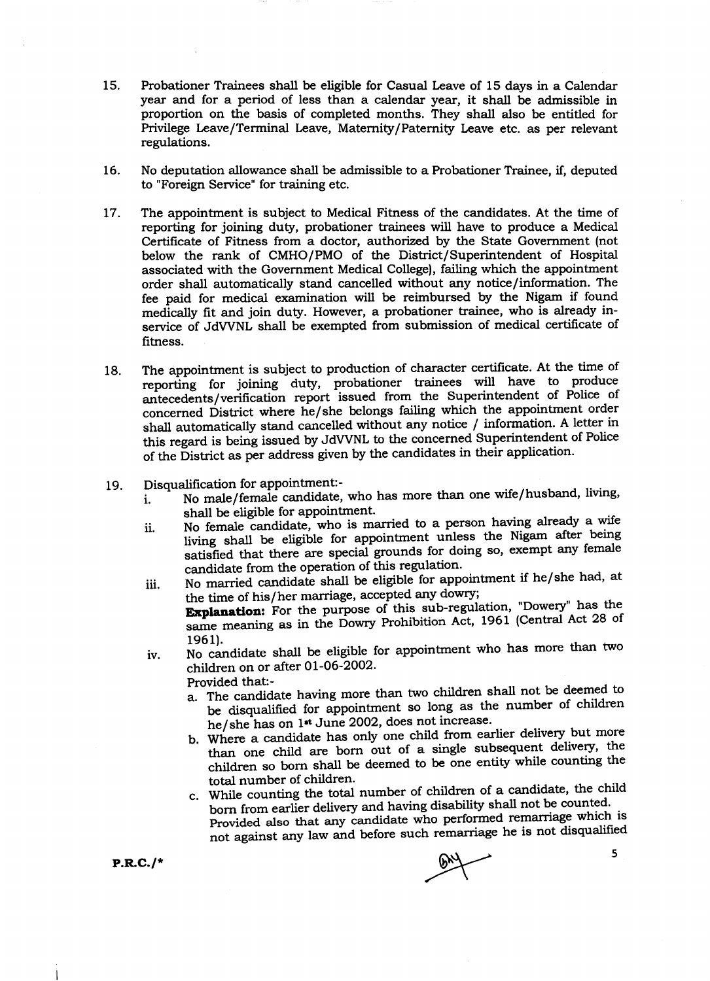- 15. Probationer Trainees shall be eligible for Casual Leave of 15 days in a Calendar year and for a period of less than a calendar year, it shall be admissible in proportion on the basis of completed months. They shall also be entitled for Privilege Leave/Terminal Leave, Maternity/Paternity Leave etc. as per relevant regulations.
- 16. No deputation allowance shall be admissible to a Probationer Trainee, if, deputed to "Foreign Service" for training etc.
- 77. The appointment is subject to Medical Fitness of the candidates. At the time of reporting for joining duty, probationer trainees will have to produce a Medical Certificate of Fitness from a doctor, authorized by the State Government (not below the rank of CMHO/PMO of the District/Superintendent of Hospital associated with the Government Medical College), failing which the appointment order shall automatically stand cancelled without any notice/information. The fee paid for medical examination will be reimbursed by the Nigam if found medically fit and join duty. However, a probationer trainee, who is already inservice of JdVVNL shall be exempted from submission of medical certificate of fitness.
- 18. The appointment is subject to production of character certificate. At the time of reporting for joining duty, probationer trainees will have to produce antecedents/verification report issued from the Superintendent of Police of concerned Oistrict where he/she belongs failing which the appointment order shall automatically stand cancelled without any notice / information. A letter in this regard is being issued by JdWNL to the concerned Superintendent of Police of the District as per address given by the candidates in their application.
- 
- 19. Disqualification for appointment:-<br>i. No male/female candidate, No male/female candidate, who has more than one wife/husband, living, shall be eligible for appointment.
	- ii. No female candidate, who is married to a person-having already a wife living shall be eligible for appointment unless the Nigam after being satisfied that there are special grounds for doing so, exempt any female candidate from the operation of this regulation.
	- iii. No married candidate shall be eligible for appointment if he/she had, at the time of his/her marriage, accepted any-dowry; Explanation: For the purpose of this sub-regulation, "Dowery" has the same meaning as in the Dowry Prohibition Act,  $1961$  (Central Act 28 of 1961).
	- 1961).<br>iv. No candidate shall be eligible for appointment who has more than two children on or after 01-06-2002. Provided that:
		- a. The candidate having more than two children shall not be deemed to
			- be disqualified for appointment so long as the number of children he/she has on 1<sup>st</sup> June 2002, does not increase.
		- b. wiere a candidate has only one child from earlier delivery but more than one child are born out of a single subsequent delivery, the children so born shall be deemed to be one entity while counting the total number of children'
		- c. While counting the total number of children of a candidate, the child<br>born from earlier delivery and having disability shall not be counted. while counting the delivery and having disability shall not be counted.<br>Provided also that any candidate who performed remarriage which is not against any law and before such remarriage he is not disqualified

 $P.R.C./*$ 

5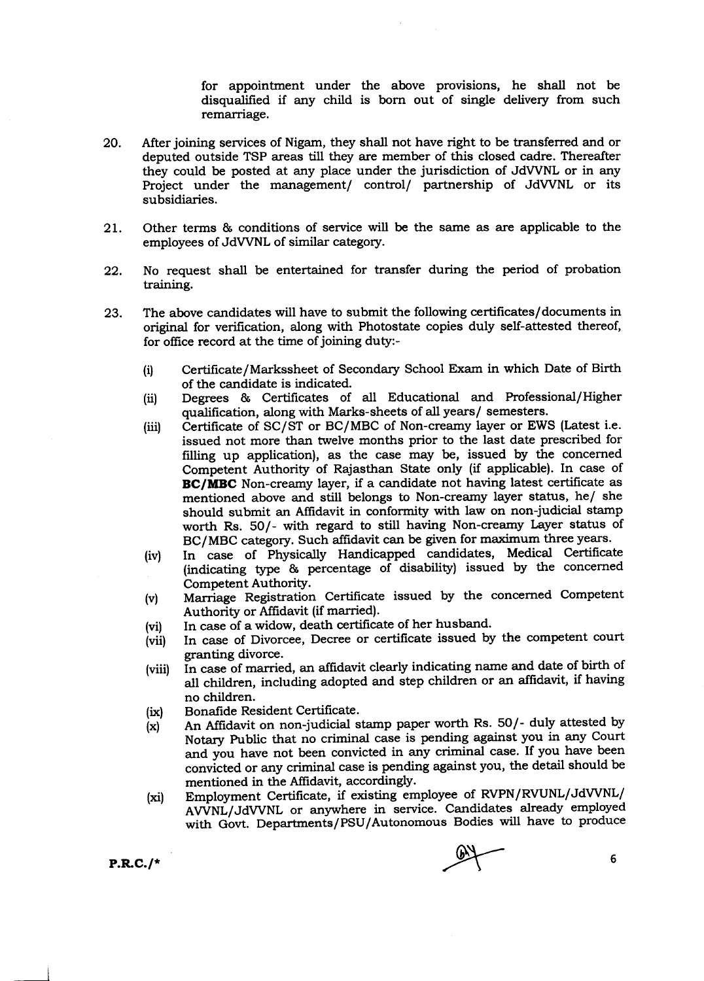for appointment under the above provisions, he shall not be disqualified if any child is born out of single delivery from such remarriage.

- 20. After joining services of Nigam, they shall not have right to be transferred and or deputed outside TSP areas till they are member of this closed cadre. Thereafter they could be posted at any place under the jurisdiction of JdWNL or in any Project under the management/ control/ partnership of JdWNL or its subsidiaries.
- 2t. Other terms & conditions of service will be the same as are applicable to the employees of JdWNL of similar category.
- 22. No request shall be entertained for transfer during the period of probation training.
- 23. The above candidates will have to submit the following certificates/documents in original for verification, along with Photostate copies duly self-attested thereof, for office record at the time of joining duty:-
	- (1) Certificate/Markssheet of Secondary School Exam in which Date of Birth of the candidate is indicated.
	- (ii) Degrees & Certificates of all Educational and Professional/Higher qualification, along with Marks-sheets of all years/ semesters.
	- (iii) Certificate of SC/ST or BC/MBC of Non-creamy layer or EWS (Latest i.e. issued not more than twelve months prior to the last date prescribed for filling up application), as the case may be, issued by the concerned Competent Authority of Rajasthan State only (if applicable). In case of BC/MBC Non-creamy layer, if a candidate not having latest certificate as mentioned above and still belongs to Non-creamy layer status, he/ she should submit an Affidavit in conformity with law on non-judicial stamp worth Rs. 50/- with regard to still having Non-creamy Layer status of BC/MBC category. Such affidavit can be given for maximum three years.
	- (iv) In case of Physically Handicapped candidates, Medical Certificate (indicating type & percentage of disability) issued by the concerned Competent AuthoritY.
	- (v) Marriage Registration Certificate issued by the concerned Competent Authority or Affidavit (if married).
	- (vi) In case of a widow, death certificate of her husband.
	- ivii) In case of Divorcee, Decree or certificate issued by the competent court granting divorce.
	- (viii) In case of married, an affidavit clearly indicating name and date of birth of all children, including adopted and step children or an affidavit, if having no children.
	- (ix) Bonafide Resident Certificate.
	- $\mathbf{x}$  An Affidavit on non-judicial stamp paper worth Rs. 50/- duly attested by Notary Public that no criminal case is pending against you in any Court and you have not been convicted in any criminal case. If you have been convicted or any criminal case is pending against you, the detail should be mentioned in the Affidavit, accordingly.
	- (xi) Employment certificate, if existing employee of RVPN/RVUNL/JdWNL/ AVVNL/JdVVNL or anywhere in service. Candidates already employed with Govt. Departments/PSU/Autonomous Bodies will have to produce

I

 $P.R.C./*$ <br>P.R.C./\*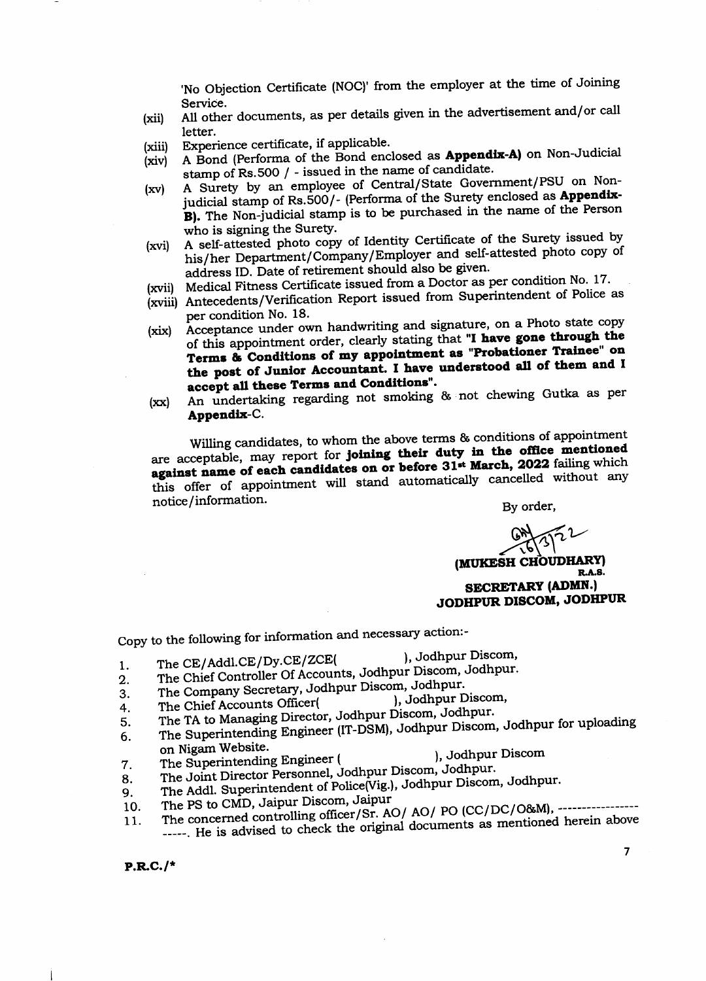'No Objection Certificate (NOC)' from the employer at the time of Joining Service.

- Service. A11 other documents, as Per details glven in the advertisement and/or call letter. (xii)
- Experience certificate, if applicable. (xiii)
- Experience certificate, if applicable.<br>A Bond (Performa of the Bond enclosed as **Appendix-A)** on Non-Judicial stamp of Rs.500 / - issued in the name of candidate. (xiv)
- A Surety by an employee of Central/State Government/PSU on Nonjudicial stamp of Rs.500/- (Performa of the Surety enclosed as Appendix-B). The Non-judicial stamp is to be purchased in the name of the Person who is signing the Surety.  $(xv)$
- (xvi) A self-attested photo copy of Identity Certificate of the Surety issued by his/her Department/Company/Employer and self-attested photo copy of address ID. Date of retirement should also be given.
- (xvii) Medical Fitness Certificate issued from a Doctor as per condition No. 17.
- (xyiii) Antecedenis/verification Report issued from superintendent of Police as
- per condition No. 18.<br>(xix) Acceptance under own handwriting and signature, on a Photo state copy of this appointment order, clearly stating that "I have gone through the Terms & Conditions of my appointment as "Probationer Trainee" on the post of Junior Accountant. I have understood all of them and I accept all these Terms and Conditions".
- (xx) An undertaking regarding not smoking & not chewing Gutka as per Appendix-C.

willing candidates, to whom the above terms & conditions of appointment are acceptable, may report for joining their duty in the office mentioned against name of each candidates on or before 31<sup>st</sup> March, 2022 failing which this offer of appointment will stand automatically cancelled without any notice/information. By order, notice/information.

 $\frac{1}{6}$ (MUKESH CHOUDHARY) SECRETARY (ADMN.)

JODHPUR DISCOM, JODHPUR

Copy to the following for information and necessary action:-<br> $\frac{1}{2}$  and CE (Add) CE (Ny CE /ZCE/

- 1. The CE/Addl.CE/Dy.CE/ZCE(
), Jodhpur Discom,<br>
1. The CE/Addl.CE/Dy.CE/ZCE(
), Jodhpur Discom, Jodhpur
- 2. The Chief Controller Of Accounts, Jodhpur Discom, Jodhpur.<br>2. The Chief Controller Of Accounts, Jodhpur, Jodhpur.
- 2. The Chief Controller Of Accounts, Jodhpur Discom, Jodhpur.<br>3. The Company Secretary, Jodhpur Discom, Jodhpur.<br>4. The Chief Accounts Officer(Alteria Discom Jodhpur
- 
- $\frac{4}{10}$ . The Chief Accounts Officer( ), Jodhpur Discom,  $\frac{4}{10}$ .
- 4. The Chief Accounts Director, Jodhpur Discom, Jodhpur.<br>5. The TA to Managing Bregineer (IT-DSM), Jodhpur Discom 5. The TA to Managing Director, Journal Discom, Journal Modhpur for uploading 6. The Superintending Engineer (IT-DSM), Jodhpur Discom, Jodhpur for uploading
- on Nigam Website.<br>The Superintending Engineer ( on Nigam website.<br>7. The Superintending Engineer ( ), Jodhpur Discom<br>1. The Superinten Personnel Jodhnur Discom, Jodhpur.
- 
- 8. The Superintending England Jodhpur Discom, Jodhpur.<br>8. The Joint Director Personnel, Jodhpur Discom, Jodhpur Discon 8. The Joint Director Personner, Journal Discom, Scar-Farmer, Jodhpur.<br>9. The Addl. Superintendent of Police(Vig.), Jodhpur Discom, Jodhpur.<br>10. The PS to CMD, Jaipur Discom, Jaipur.
- The PS to CMD, Jaipur Discom, Jaipur
- 11. The concerned controlling officer/Sr. AO/ AO/ PO (CC/DC/O&M), ---------------
- -----. He is advised to check the original documents as mentioned herein above

P.R.C./\*

 $\overline{\mathbf{z}}$